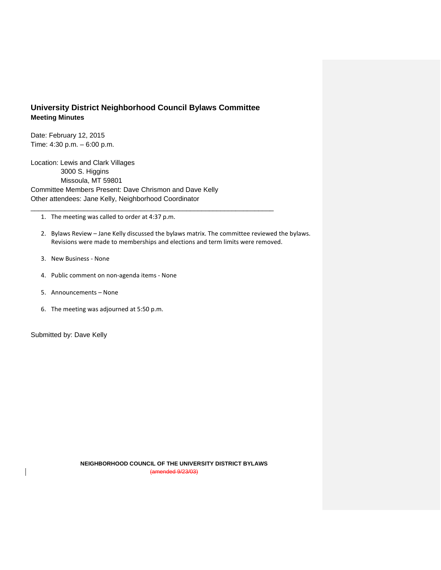## **University District Neighborhood Council Bylaws Committee Meeting Minutes**

\_\_\_\_\_\_\_\_\_\_\_\_\_\_\_\_\_\_\_\_\_\_\_\_\_\_\_\_\_\_\_\_\_\_\_\_\_\_\_\_\_\_\_\_\_\_\_\_\_\_\_\_\_\_\_\_\_\_\_\_\_\_\_\_

Date: February 12, 2015 Time: 4:30 p.m. – 6:00 p.m.

Location: Lewis and Clark Villages 3000 S. Higgins Missoula, MT 59801 Committee Members Present: Dave Chrismon and Dave Kelly Other attendees: Jane Kelly, Neighborhood Coordinator

1. The meeting was called to order at 4:37 p.m.

- 2. Bylaws Review Jane Kelly discussed the bylaws matrix. The committee reviewed the bylaws. Revisions were made to memberships and elections and term limits were removed.
- 3. New Business None
- 4. Public comment on non-agenda items None
- 5. Announcements None
- 6. The meeting was adjourned at 5:50 p.m.

Submitted by: Dave Kelly

**NEIGHBORHOOD COUNCIL OF THE UNIVERSITY DISTRICT BYLAWS** (amended 9/23/03)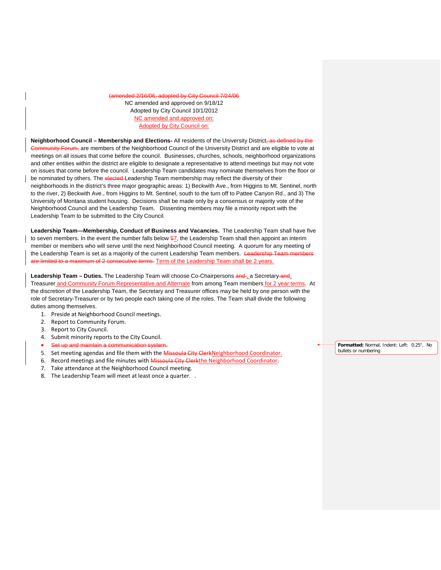2/16/06, adopted by City Council 7/24/06 NC amended and approved on 9/18/12 Adopted by City Council 10/1/2012 NC amended and approved on: Adopted by City Council on:

**Neighborhood Council – Membership and Elections-** All residents of the University District, as defined by the ommunity Forum, are members of the Neighborhood Council of the University District and are eligible to vote at meetings on all issues that come before the council. Businesses, churches, schools, neighborhood organizations and other entities within the district are eligible to designate a representative to attend meetings but may not vote on issues that come before the council. Leadership Team candidates may nominate themselves from the floor or be nominated by others. The elected-Leadership Team membership may reflect the diversity of their neighborhoods in the district's three major geographic areas: 1) Beckwith Ave., from Higgins to Mt. Sentinel, north to the river, 2) Beckwith Ave., from Higgins to Mt. Sentinel, south to the turn off to Pattee Canyon Rd., and 3) The University of Montana student housing. Decisions shall be made only by a consensus or majority vote of the Neighborhood Council and the Leadership Team. Dissenting members may file a minority report with the Leadership Team to be submitted to the City Council.

**Leadership Team—Membership, Conduct of Business and Vacancies.** The Leadership Team shall have five to seven members. In the event the number falls below  $\frac{57}{10}$ , the Leadership Team shall then appoint an interim member or members who will serve until the next Neighborhood Council meeting. A quorum for any meeting of the Leadership Team is set as a majority of the current Leadership Team members. Leadership Te are limited to a maximum of 2 consecutive terms. Term of the Leadership Team shall be 2 years.

Leadership Team – Duties. The Leadership Team will choose Co-Chairpersons and a Secretary and, Treasurer and Community Forum Representative and Alternate from among Team members for 2 year terms. At the discretion of the Leadership Team, the Secretary and Treasurer offices may be held by one person with the role of Secretary-Treasurer or by two people each taking one of the roles. The Team shall divide the following duties among themselves.

- 1. Preside at Neighborhood Council meetings.
- 2. Report to Community Forum.
- 3. Report to City Council.
- 4. Submit minority reports to the City Council.
- Set up and maintain a communication system.
- 5. Set meeting agendas and file them with the Missoula City ClerkNeighborhood Coordinator.
- 6. Record meetings and file minutes with Missoula City Clerkthe Neighborhood Coordinator.
- 7. Take attendance at the Neighborhood Council meeting.
- 8. The Leadership Team will meet at least once a quarter. .

**Formatted:** Normal, Indent: Left: 0.25", No bullets or numbering